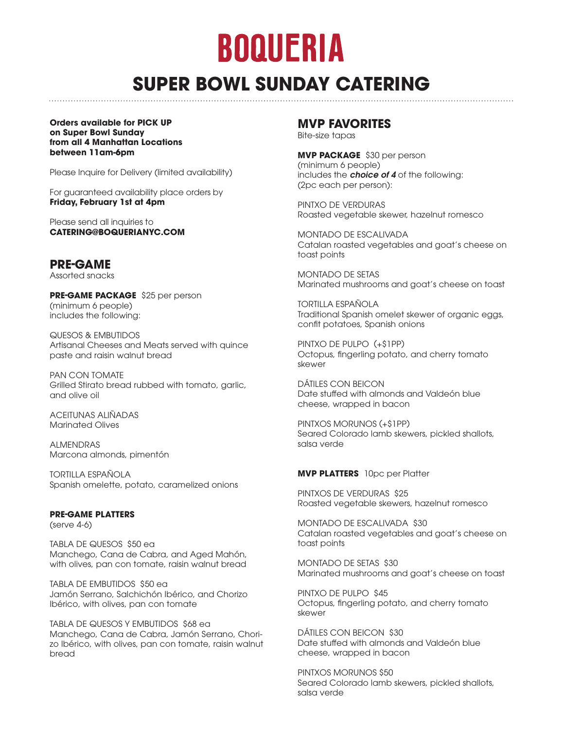# BOQUERIA

## **SUPER BOWL SUNDAY CATERING**

**Orders available for PICK UP on Super Bowl Sunday from all 4 Manhattan Locations between 11am-6pm** 

Please Inquire for Delivery (limited availability)

For guaranteed availability place orders by **Friday, February 1st at 4pm** 

Please send all inquiries to **CATERING@BOQUERIANYC.COM** 

### **PRE-GAME**

Assorted snacks

**PRE-GAME PACKAGE** \$25 per person (minimum 6 people) includes the following:

QUESOS & EMBUTIDOS Artisanal Cheeses and Meats served with quince paste and raisin walnut bread

PAN CON TOMATE Grilled Stirato bread rubbed with tomato, garlic, and olive oil

ACEITUNAS ALIÑADAS Marinated Olives

ALMENDRAS Marcona almonds, pimentón

TORTILLA ESPAÑOLA Spanish omelette, potato, caramelized onions

#### **PRE-GAME PLATTERS**

(serve 4-6)

TABLA DE QUESOS \$50 ea Manchego, Cana de Cabra, and Aged Mahón, with olives, pan con tomate, raisin walnut bread

TABLA DE EMBUTIDOS \$50 ea Jamón Serrano, Salchichón Ibérico, and Chorizo Ibérico, with olives, pan con tomate

TABLA DE QUESOS Y EMBUTIDOS \$68 ea Manchego, Cana de Cabra, Jamón Serrano, Chorizo Ibérico, with olives, pan con tomate, raisin walnut bread

### **MVP FAVORITES**

Bite-size tapas

**MVP PACKAGE** \$30 per person (minimum 6 people) includes the *choice of 4* of the following: (2pc each per person):

PINTXO DE VERDURAS Roasted vegetable skewer, hazelnut romesco

MONTADO DE ESCALIVADA Catalan roasted vegetables and goat's cheese on toast points

MONTADO DE SETAS Marinated mushrooms and goat's cheese on toast

TORTILLA ESPAÑOLA Traditional Spanish omelet skewer of organic eggs, confit potatoes, Spanish onions

PINTXO DE PULPO (+\$1PP) Octopus, fingerling potato, and cherry tomato skewer

DÁTILES CON BEICON Date stuffed with almonds and Valdeón blue cheese, wrapped in bacon

PINTXOS MORUNOS (+\$1PP) Seared Colorado lamb skewers, pickled shallots, salsa verde

#### **MVP PLATTERS** 10pc per Platter

PINTXOS DE VERDURAS \$25 Roasted vegetable skewers, hazelnut romesco

MONTADO DE ESCALIVADA \$30 Catalan roasted vegetables and goat's cheese on toast points

MONTADO DE SETAS \$30 Marinated mushrooms and goat's cheese on toast

PINTXO DE PULPO \$45 Octopus, fingerling potato, and cherry tomato skewer

DÁTILES CON BEICON \$30 Date stuffed with almonds and Valdeón blue cheese, wrapped in bacon

PINTXOS MORUNOS \$50 Seared Colorado lamb skewers, pickled shallots, salsa verde